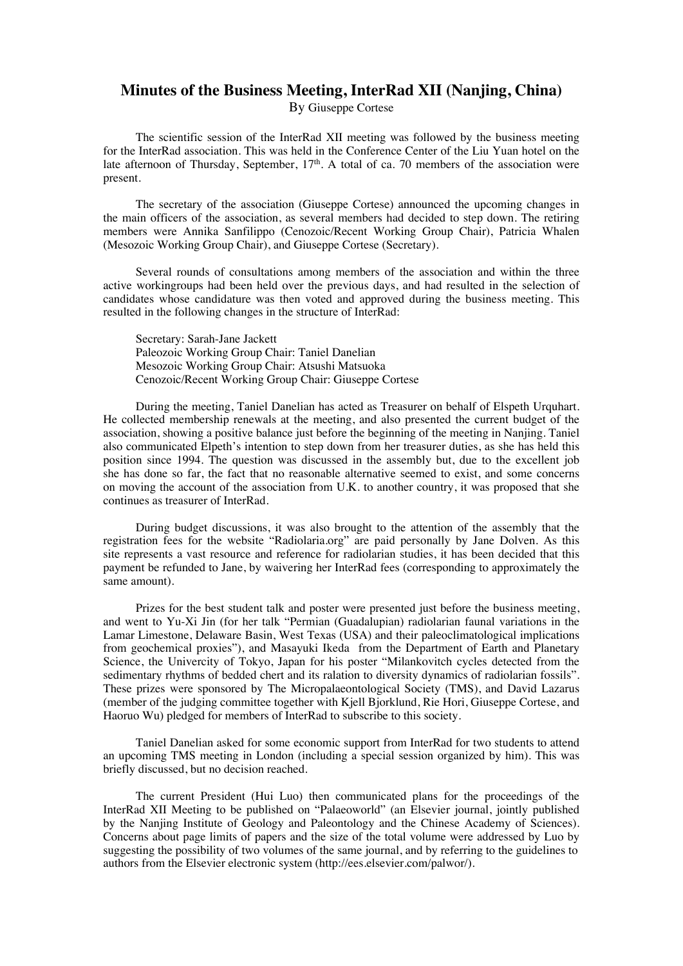## **Minutes of the Business Meeting, InterRad XII (Nanjing, China)**

By Giuseppe Cortese

The scientific session of the InterRad XII meeting was followed by the business meeting for the InterRad association. This was held in the Conference Center of the Liu Yuan hotel on the late afternoon of Thursday, September, 17<sup>th</sup>. A total of ca. 70 members of the association were present.

The secretary of the association (Giuseppe Cortese) announced the upcoming changes in the main officers of the association, as several members had decided to step down. The retiring members were Annika Sanfilippo (Cenozoic/Recent Working Group Chair), Patricia Whalen (Mesozoic Working Group Chair), and Giuseppe Cortese (Secretary).

Several rounds of consultations among members of the association and within the three active workingroups had been held over the previous days, and had resulted in the selection of candidates whose candidature was then voted and approved during the business meeting. This resulted in the following changes in the structure of InterRad:

Secretary: Sarah-Jane Jackett Paleozoic Working Group Chair: Taniel Danelian Mesozoic Working Group Chair: Atsushi Matsuoka Cenozoic/Recent Working Group Chair: Giuseppe Cortese

During the meeting, Taniel Danelian has acted as Treasurer on behalf of Elspeth Urquhart. He collected membership renewals at the meeting, and also presented the current budget of the association, showing a positive balance just before the beginning of the meeting in Nanjing. Taniel also communicated Elpeth's intention to step down from her treasurer duties, as she has held this position since 1994. The question was discussed in the assembly but, due to the excellent job she has done so far, the fact that no reasonable alternative seemed to exist, and some concerns on moving the account of the association from U.K. to another country, it was proposed that she continues as treasurer of InterRad.

During budget discussions, it was also brought to the attention of the assembly that the registration fees for the website "Radiolaria.org" are paid personally by Jane Dolven. As this site represents a vast resource and reference for radiolarian studies, it has been decided that this payment be refunded to Jane, by waivering her InterRad fees (corresponding to approximately the same amount).

Prizes for the best student talk and poster were presented just before the business meeting, and went to Yu-Xi Jin (for her talk "Permian (Guadalupian) radiolarian faunal variations in the Lamar Limestone, Delaware Basin, West Texas (USA) and their paleoclimatological implications from geochemical proxies"), and Masayuki Ikeda from the Department of Earth and Planetary Science, the Univercity of Tokyo, Japan for his poster "Milankovitch cycles detected from the sedimentary rhythms of bedded chert and its ralation to diversity dynamics of radiolarian fossils". These prizes were sponsored by The Micropalaeontological Society (TMS), and David Lazarus (member of the judging committee together with Kjell Bjorklund, Rie Hori, Giuseppe Cortese, and Haoruo Wu) pledged for members of InterRad to subscribe to this society.

Taniel Danelian asked for some economic support from InterRad for two students to attend an upcoming TMS meeting in London (including a special session organized by him). This was briefly discussed, but no decision reached.

The current President (Hui Luo) then communicated plans for the proceedings of the InterRad XII Meeting to be published on "Palaeoworld" (an Elsevier journal, jointly published by the Nanjing Institute of Geology and Paleontology and the Chinese Academy of Sciences). Concerns about page limits of papers and the size of the total volume were addressed by Luo by suggesting the possibility of two volumes of the same journal, and by referring to the guidelines to authors from the Elsevier electronic system (http://ees.elsevier.com/palwor/).